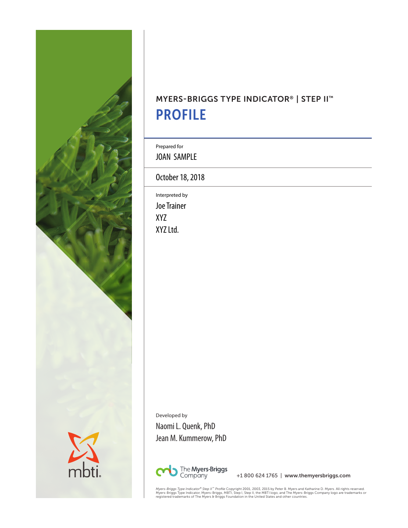

# MYERS-BRIGGS TYPE INDICATOR® | STEP II™ PROFILE

Prepared for

JOAN SAMPLE

October 18, 2018

Interpreted by Joe Trainer XYZ XYZ Ltd.

Developed by Naomi L. Quenk, PhD Jean M. Kummerow, PhD



+1 800 624 1765 | www.themyersbriggs.com

*Myers-Briggs Type Indicator® Step II" Profile* Copyright 2001, 2003, 2015 by Peter B. Myers and Katharine D. Myers. All rights reserved.<br>Myers-Briggs Type Indicator, Myers-Briggs, MBTI, Step I, Step II, the MBTI logo, and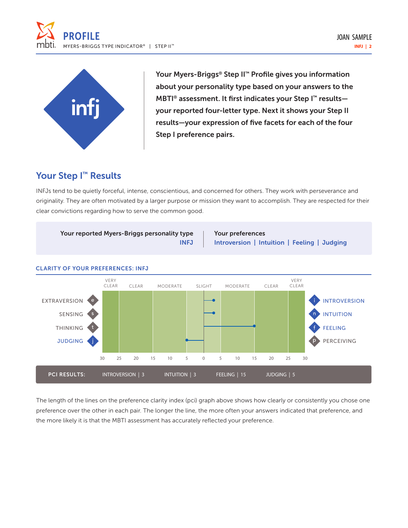



Your Myers-Briggs® Step II™ Profile gives you information about your personality type based on your answers to the MBTI<sup>®</sup> assessment. It first indicates your Step I<sup>™</sup> resultsyour reported four-letter type. Next it shows your Step II results—your expression of five facets for each of the four Step I preference pairs.

## Your Step I<sup>™</sup> Results

INFJs tend to be quietly forceful, intense, conscientious, and concerned for others. They work with perseverance and originality. They are often motivated by a larger purpose or mission they want to accomplish. They are respected for their clear convictions regarding how to serve the common good.



The length of the lines on the preference clarity index (pci) graph above shows how clearly or consistently you chose one preference over the other in each pair. The longer the line, the more often your answers indicated that preference, and the more likely it is that the MBTI assessment has accurately reflected your preference.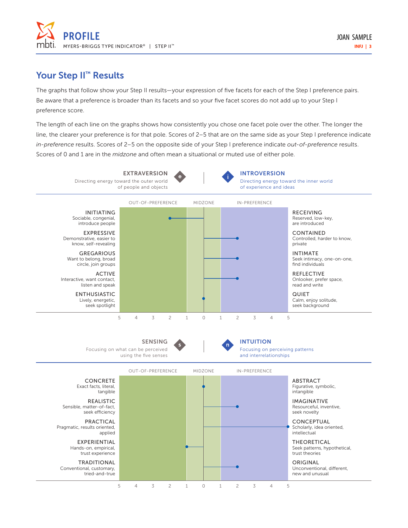

### Your Step II<sup>™</sup> Results

The graphs that follow show your Step II results—your expression of five facets for each of the Step I preference pairs. Be aware that a preference is broader than its facets and so your five facet scores do not add up to your Step I preference score.

The length of each line on the graphs shows how consistently you chose one facet pole over the other. The longer the line, the clearer your preference is for that pole. Scores of 2–5 that are on the same side as your Step I preference indicate *in-preference* results. Scores of 2–5 on the opposite side of your Step I preference indicate *out-of-preference* results. Scores of 0 and 1 are in the *midzone* and often mean a situational or muted use of either pole.

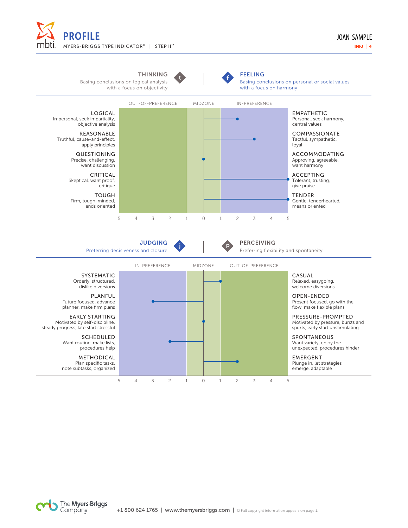